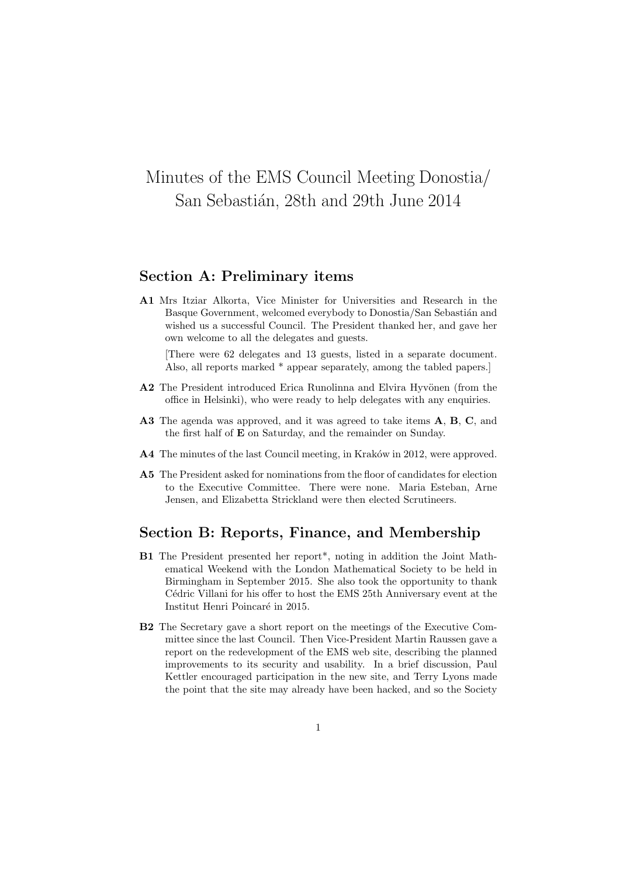# Minutes of the EMS Council Meeting Donostia/ San Sebastián, 28th and 29th June 2014

# Section A: Preliminary items

A1 Mrs Itziar Alkorta, Vice Minister for Universities and Research in the Basque Government, welcomed everybody to Donostia/San Sebastián and wished us a successful Council. The President thanked her, and gave her own welcome to all the delegates and guests.

[There were 62 delegates and 13 guests, listed in a separate document. Also, all reports marked \* appear separately, among the tabled papers.]

- A2 The President introduced Erica Runolinna and Elvira Hyvönen (from the office in Helsinki), who were ready to help delegates with any enquiries.
- A3 The agenda was approved, and it was agreed to take items A, B, C, and the first half of E on Saturday, and the remainder on Sunday.
- A4 The minutes of the last Council meeting, in Kraków in 2012, were approved.
- A5 The President asked for nominations from the floor of candidates for election to the Executive Committee. There were none. Maria Esteban, Arne Jensen, and Elizabetta Strickland were then elected Scrutineers.

# Section B: Reports, Finance, and Membership

- B1 The President presented her report\*, noting in addition the Joint Mathematical Weekend with the London Mathematical Society to be held in Birmingham in September 2015. She also took the opportunity to thank Cédric Villani for his offer to host the EMS 25th Anniversary event at the Institut Henri Poincaré in 2015.
- B2 The Secretary gave a short report on the meetings of the Executive Committee since the last Council. Then Vice-President Martin Raussen gave a report on the redevelopment of the EMS web site, describing the planned improvements to its security and usability. In a brief discussion, Paul Kettler encouraged participation in the new site, and Terry Lyons made the point that the site may already have been hacked, and so the Society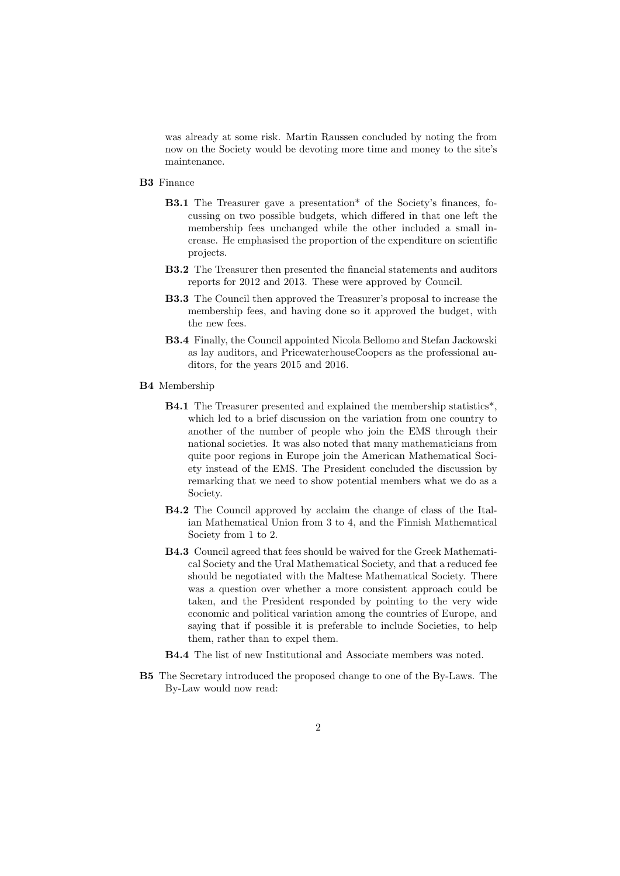was already at some risk. Martin Raussen concluded by noting the from now on the Society would be devoting more time and money to the site's maintenance.

- B3 Finance
	- B3.1 The Treasurer gave a presentation\* of the Society's finances, focussing on two possible budgets, which differed in that one left the membership fees unchanged while the other included a small increase. He emphasised the proportion of the expenditure on scientific projects.
	- B3.2 The Treasurer then presented the financial statements and auditors reports for 2012 and 2013. These were approved by Council.
	- B3.3 The Council then approved the Treasurer's proposal to increase the membership fees, and having done so it approved the budget, with the new fees.
	- B3.4 Finally, the Council appointed Nicola Bellomo and Stefan Jackowski as lay auditors, and PricewaterhouseCoopers as the professional auditors, for the years 2015 and 2016.
- B4 Membership
	- B4.1 The Treasurer presented and explained the membership statistics\*, which led to a brief discussion on the variation from one country to another of the number of people who join the EMS through their national societies. It was also noted that many mathematicians from quite poor regions in Europe join the American Mathematical Society instead of the EMS. The President concluded the discussion by remarking that we need to show potential members what we do as a Society.
	- B4.2 The Council approved by acclaim the change of class of the Italian Mathematical Union from 3 to 4, and the Finnish Mathematical Society from 1 to 2.
	- B4.3 Council agreed that fees should be waived for the Greek Mathematical Society and the Ural Mathematical Society, and that a reduced fee should be negotiated with the Maltese Mathematical Society. There was a question over whether a more consistent approach could be taken, and the President responded by pointing to the very wide economic and political variation among the countries of Europe, and saying that if possible it is preferable to include Societies, to help them, rather than to expel them.
	- B4.4 The list of new Institutional and Associate members was noted.
- B5 The Secretary introduced the proposed change to one of the By-Laws. The By-Law would now read: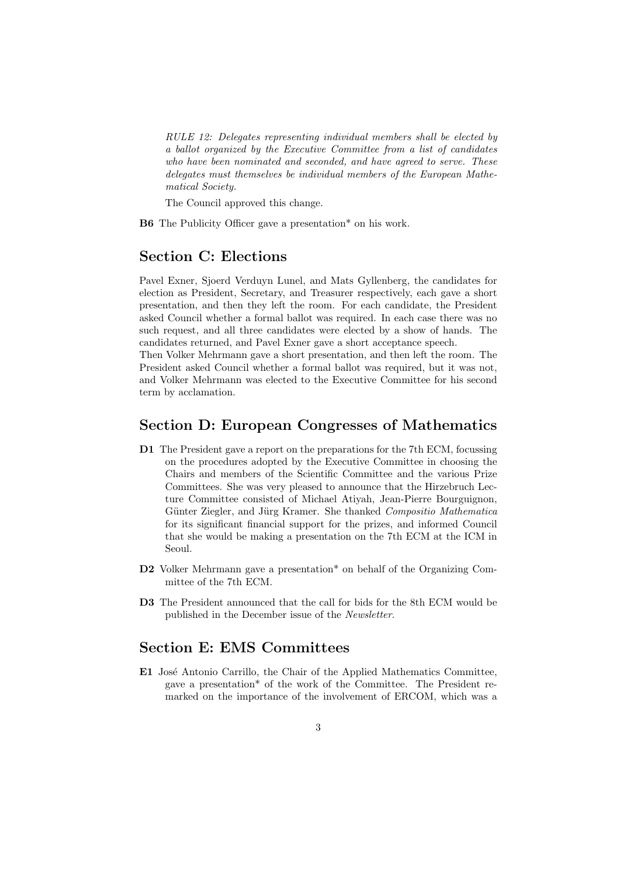RULE 12: Delegates representing individual members shall be elected by a ballot organized by the Executive Committee from a list of candidates who have been nominated and seconded, and have agreed to serve. These delegates must themselves be individual members of the European Mathematical Society.

The Council approved this change.

B6 The Publicity Officer gave a presentation\* on his work.

# Section C: Elections

Pavel Exner, Sjoerd Verduyn Lunel, and Mats Gyllenberg, the candidates for election as President, Secretary, and Treasurer respectively, each gave a short presentation, and then they left the room. For each candidate, the President asked Council whether a formal ballot was required. In each case there was no such request, and all three candidates were elected by a show of hands. The candidates returned, and Pavel Exner gave a short acceptance speech.

Then Volker Mehrmann gave a short presentation, and then left the room. The President asked Council whether a formal ballot was required, but it was not, and Volker Mehrmann was elected to the Executive Committee for his second term by acclamation.

#### Section D: European Congresses of Mathematics

- D1 The President gave a report on the preparations for the 7th ECM, focussing on the procedures adopted by the Executive Committee in choosing the Chairs and members of the Scientific Committee and the various Prize Committees. She was very pleased to announce that the Hirzebruch Lecture Committee consisted of Michael Atiyah, Jean-Pierre Bourguignon, Günter Ziegler, and Jürg Kramer. She thanked Compositio Mathematica for its significant financial support for the prizes, and informed Council that she would be making a presentation on the 7th ECM at the ICM in Seoul.
- D2 Volker Mehrmann gave a presentation\* on behalf of the Organizing Committee of the 7th ECM.
- D3 The President announced that the call for bids for the 8th ECM would be published in the December issue of the Newsletter.

# Section E: EMS Committees

E1 José Antonio Carrillo, the Chair of the Applied Mathematics Committee, gave a presentation\* of the work of the Committee. The President remarked on the importance of the involvement of ERCOM, which was a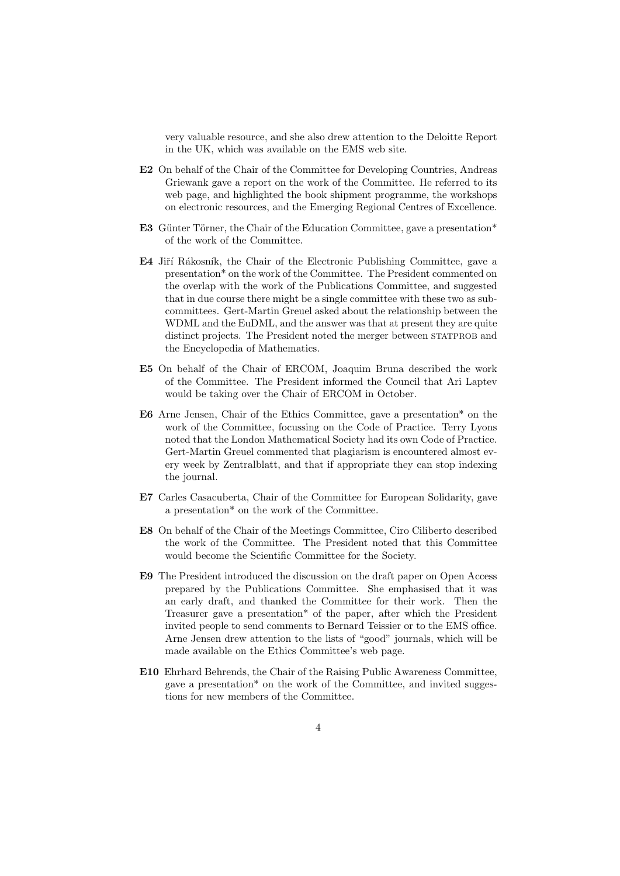very valuable resource, and she also drew attention to the Deloitte Report in the UK, which was available on the EMS web site.

- E2 On behalf of the Chair of the Committee for Developing Countries, Andreas Griewank gave a report on the work of the Committee. He referred to its web page, and highlighted the book shipment programme, the workshops on electronic resources, and the Emerging Regional Centres of Excellence.
- E3 Günter Törner, the Chair of the Education Committee, gave a presentation\* of the work of the Committee.
- E4 Jiří Rákosník, the Chair of the Electronic Publishing Committee, gave a presentation\* on the work of the Committee. The President commented on the overlap with the work of the Publications Committee, and suggested that in due course there might be a single committee with these two as subcommittees. Gert-Martin Greuel asked about the relationship between the WDML and the EuDML, and the answer was that at present they are quite distinct projects. The President noted the merger between STATPROB and the Encyclopedia of Mathematics.
- E5 On behalf of the Chair of ERCOM, Joaquim Bruna described the work of the Committee. The President informed the Council that Ari Laptev would be taking over the Chair of ERCOM in October.
- E6 Arne Jensen, Chair of the Ethics Committee, gave a presentation\* on the work of the Committee, focussing on the Code of Practice. Terry Lyons noted that the London Mathematical Society had its own Code of Practice. Gert-Martin Greuel commented that plagiarism is encountered almost every week by Zentralblatt, and that if appropriate they can stop indexing the journal.
- E7 Carles Casacuberta, Chair of the Committee for European Solidarity, gave a presentation\* on the work of the Committee.
- E8 On behalf of the Chair of the Meetings Committee, Ciro Ciliberto described the work of the Committee. The President noted that this Committee would become the Scientific Committee for the Society.
- E9 The President introduced the discussion on the draft paper on Open Access prepared by the Publications Committee. She emphasised that it was an early draft, and thanked the Committee for their work. Then the Treasurer gave a presentation\* of the paper, after which the President invited people to send comments to Bernard Teissier or to the EMS office. Arne Jensen drew attention to the lists of "good" journals, which will be made available on the Ethics Committee's web page.
- E10 Ehrhard Behrends, the Chair of the Raising Public Awareness Committee, gave a presentation\* on the work of the Committee, and invited suggestions for new members of the Committee.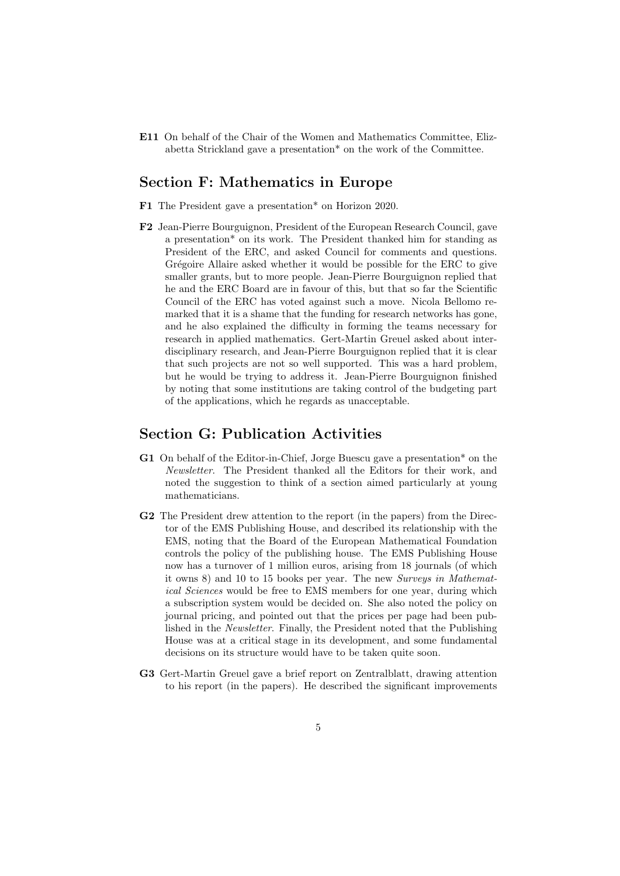E11 On behalf of the Chair of the Women and Mathematics Committee, Elizabetta Strickland gave a presentation\* on the work of the Committee.

#### Section F: Mathematics in Europe

F1 The President gave a presentation\* on Horizon 2020.

F2 Jean-Pierre Bourguignon, President of the European Research Council, gave a presentation\* on its work. The President thanked him for standing as President of the ERC, and asked Council for comments and questions. Grégoire Allaire asked whether it would be possible for the ERC to give smaller grants, but to more people. Jean-Pierre Bourguignon replied that he and the ERC Board are in favour of this, but that so far the Scientific Council of the ERC has voted against such a move. Nicola Bellomo remarked that it is a shame that the funding for research networks has gone, and he also explained the difficulty in forming the teams necessary for research in applied mathematics. Gert-Martin Greuel asked about interdisciplinary research, and Jean-Pierre Bourguignon replied that it is clear that such projects are not so well supported. This was a hard problem, but he would be trying to address it. Jean-Pierre Bourguignon finished by noting that some institutions are taking control of the budgeting part of the applications, which he regards as unacceptable.

#### Section G: Publication Activities

- G1 On behalf of the Editor-in-Chief, Jorge Buescu gave a presentation\* on the Newsletter. The President thanked all the Editors for their work, and noted the suggestion to think of a section aimed particularly at young mathematicians.
- G2 The President drew attention to the report (in the papers) from the Director of the EMS Publishing House, and described its relationship with the EMS, noting that the Board of the European Mathematical Foundation controls the policy of the publishing house. The EMS Publishing House now has a turnover of 1 million euros, arising from 18 journals (of which it owns 8) and 10 to 15 books per year. The new Surveys in Mathematical Sciences would be free to EMS members for one year, during which a subscription system would be decided on. She also noted the policy on journal pricing, and pointed out that the prices per page had been published in the Newsletter. Finally, the President noted that the Publishing House was at a critical stage in its development, and some fundamental decisions on its structure would have to be taken quite soon.
- G3 Gert-Martin Greuel gave a brief report on Zentralblatt, drawing attention to his report (in the papers). He described the significant improvements